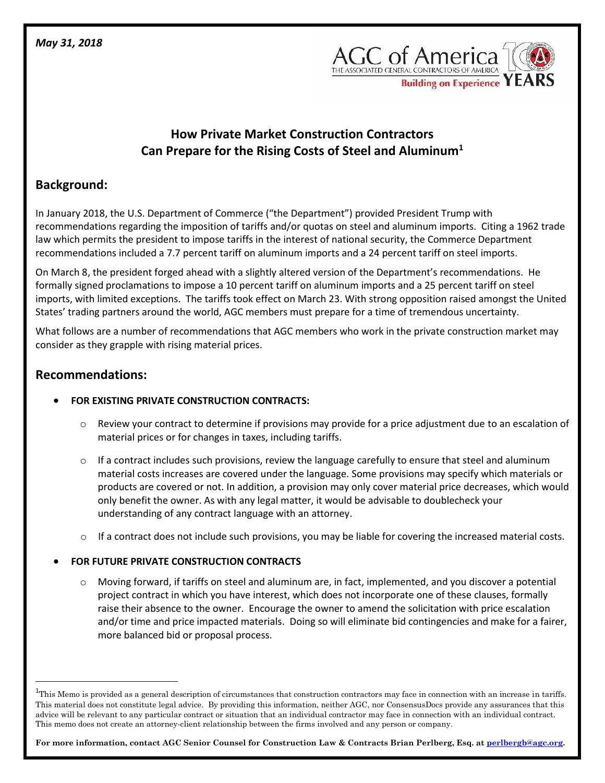

# **How Private Market Construction Contractors Can Prepare for the Rising Costs of Steel and Aluminum<sup>1</sup>**

## **Background:**

In January 2018, the U.S. Department of Commerce ("the Department") provided President Trump with recommendations regarding the imposition of tariffs and/or quotas on steel and aluminum imports. Citing a 1962 trade law which permits the president to impose tariffs in the interest of national security, the Commerce Department recommendations included a 7.7 percent tariff on aluminum imports and a 24 percent tariff on steel imports.

On March 8, the president forged ahead with a slightly altered version of the Department's recommendations. He formally signed proclamations to impose a 10 percent tariff on aluminum imports and a 25 percent tariff on steel imports, with limited exceptions. The tariffs took effect on March 23. With strong opposition raised amongst the United States' trading partners around the world, AGC members must prepare for a time of tremendous uncertainty.

What follows are a number of recommendations that AGC members who work in the private construction market may consider as they grapple with rising material prices.

### **Recommendations:**

 $\overline{\phantom{a}}$ 

#### • **FOR EXISTING PRIVATE CONSTRUCTION CONTRACTS:**

- o Review your contract to determine if provisions may provide for a price adjustment due to an escalation of material prices or for changes in taxes, including tariffs.
- $\circ$  If a contract includes such provisions, review the language carefully to ensure that steel and aluminum material costs increases are covered under the language. Some provisions may specify which materials or products are covered or not. In addition, a provision may only cover material price decreases, which would only benefit the owner. As with any legal matter, it would be advisable to doublecheck your understanding of any contract language with an attorney.
- $\circ$  If a contract does not include such provisions, you may be liable for covering the increased material costs.

#### • **FOR FUTURE PRIVATE CONSTRUCTION CONTRACTS**

o Moving forward, if tariffs on steel and aluminum are, in fact, implemented, and you discover a potential project contract in which you have interest, which does not incorporate one of these clauses, formally raise their absence to the owner. Encourage the owner to amend the solicitation with price escalation and/or time and price impacted materials. Doing so will eliminate bid contingencies and make for a fairer, more balanced bid or proposal process.

**For more information, contact AGC Senior Counsel for Construction Law & Contracts Brian Perlberg, Esq. a[t perlbergb@agc.org.](mailto:perlbergb@agc.org)** 

<sup>&</sup>lt;sup>1</sup>This Memo is provided as a general description of circumstances that construction contractors may face in connection with an increase in tariffs. This material does not constitute legal advice. By providing this information, neither AGC, nor ConsensusDocs provide any assurances that this advice will be relevant to any particular contract or situation that an individual contractor may face in connection with an individual contract. This memo does not create an attorney-client relationship between the firms involved and any person or company.